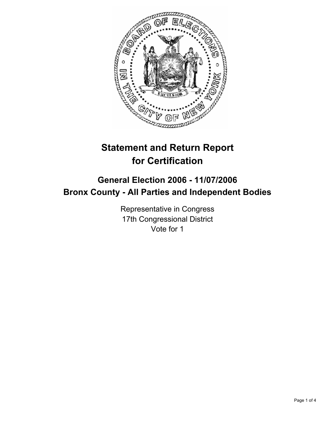

# **Statement and Return Report for Certification**

## **General Election 2006 - 11/07/2006 Bronx County - All Parties and Independent Bodies**

Representative in Congress 17th Congressional District Vote for 1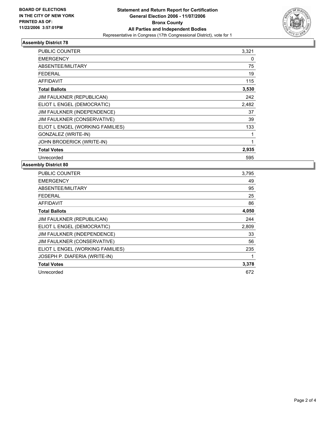

#### **Assembly District 78**

| PUBLIC COUNTER                   | 3,321 |
|----------------------------------|-------|
| <b>EMERGENCY</b>                 | 0     |
| <b>ABSENTEE/MILITARY</b>         | 75    |
| <b>FEDERAL</b>                   | 19    |
| <b>AFFIDAVIT</b>                 | 115   |
| <b>Total Ballots</b>             | 3,530 |
| JIM FAULKNER (REPUBLICAN)        | 242   |
| ELIOT L ENGEL (DEMOCRATIC)       | 2,482 |
| JIM FAULKNER (INDEPENDENCE)      | 37    |
| JIM FAULKNER (CONSERVATIVE)      | 39    |
| ELIOT L ENGEL (WORKING FAMILIES) | 133   |
| GONZALEZ (WRITE-IN)              |       |
| JOHN BRODERICK (WRITE-IN)        |       |
| <b>Total Votes</b>               | 2,935 |
| Unrecorded                       | 595   |

#### **Assembly District 80**

| <b>PUBLIC COUNTER</b>            | 3,795 |
|----------------------------------|-------|
| <b>EMERGENCY</b>                 | 49    |
| ABSENTEE/MILITARY                | 95    |
| <b>FEDERAL</b>                   | 25    |
| <b>AFFIDAVIT</b>                 | 86    |
| <b>Total Ballots</b>             | 4,050 |
| <b>JIM FAULKNER (REPUBLICAN)</b> | 244   |
| ELIOT L ENGEL (DEMOCRATIC)       | 2,809 |
| JIM FAULKNER (INDEPENDENCE)      | 33    |
| JIM FAULKNER (CONSERVATIVE)      | 56    |
| ELIOT L ENGEL (WORKING FAMILIES) | 235   |
| JOSEPH P. DIAFERIA (WRITE-IN)    |       |
| <b>Total Votes</b>               | 3,378 |
| Unrecorded                       | 672   |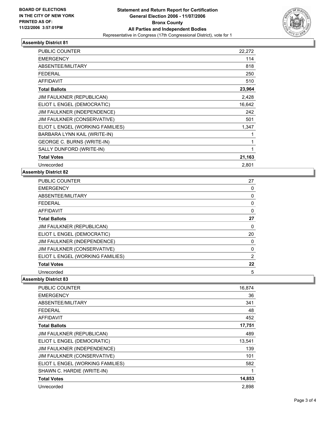

## **Assembly District 81**

| PUBLIC COUNTER                   | 22,272 |
|----------------------------------|--------|
| <b>EMERGENCY</b>                 | 114    |
| <b>ABSENTEE/MILITARY</b>         | 818    |
| <b>FEDERAL</b>                   | 250    |
| <b>AFFIDAVIT</b>                 | 510    |
| <b>Total Ballots</b>             | 23,964 |
| JIM FAULKNER (REPUBLICAN)        | 2,428  |
| ELIOT L ENGEL (DEMOCRATIC)       | 16,642 |
| JIM FAULKNER (INDEPENDENCE)      | 242    |
| JIM FAULKNER (CONSERVATIVE)      | 501    |
| ELIOT L ENGEL (WORKING FAMILIES) | 1,347  |
| BARBARA LYNN KAIL (WRITE-IN)     |        |
| GEORGE C. BURNS (WRITE-IN)       |        |
| SALLY DUNFORD (WRITE-IN)         |        |
| <b>Total Votes</b>               | 21,163 |
| Unrecorded                       | 2.801  |

#### **Assembly District 82**

| <b>PUBLIC COUNTER</b>            | 27 |
|----------------------------------|----|
| <b>EMERGENCY</b>                 |    |
| ABSENTEE/MILITARY                | 0  |
| <b>FEDERAL</b>                   | 0  |
| <b>AFFIDAVIT</b>                 |    |
| <b>Total Ballots</b>             | 27 |
| JIM FAULKNER (REPUBLICAN)        | 0  |
| ELIOT L ENGEL (DEMOCRATIC)       | 20 |
| JIM FAULKNER (INDEPENDENCE)      |    |
| JIM FAULKNER (CONSERVATIVE)      | 0  |
| ELIOT L ENGEL (WORKING FAMILIES) | 2  |
| <b>Total Votes</b>               | 22 |
| Unrecorded                       | 5  |

### **Assembly District 83**

| PUBLIC COUNTER                   | 16,874 |
|----------------------------------|--------|
| <b>EMERGENCY</b>                 | 36     |
| ABSENTEE/MILITARY                | 341    |
| <b>FEDERAL</b>                   | 48     |
| <b>AFFIDAVIT</b>                 | 452    |
| <b>Total Ballots</b>             | 17,751 |
| <b>JIM FAULKNER (REPUBLICAN)</b> | 489    |
| ELIOT L ENGEL (DEMOCRATIC)       | 13,541 |
| JIM FAULKNER (INDEPENDENCE)      | 139    |
| JIM FAULKNER (CONSERVATIVE)      | 101    |
| ELIOT L ENGEL (WORKING FAMILIES) | 582    |
| SHAWN C. HARDIE (WRITE-IN)       |        |
| <b>Total Votes</b>               | 14,853 |
| Unrecorded                       | 2,898  |